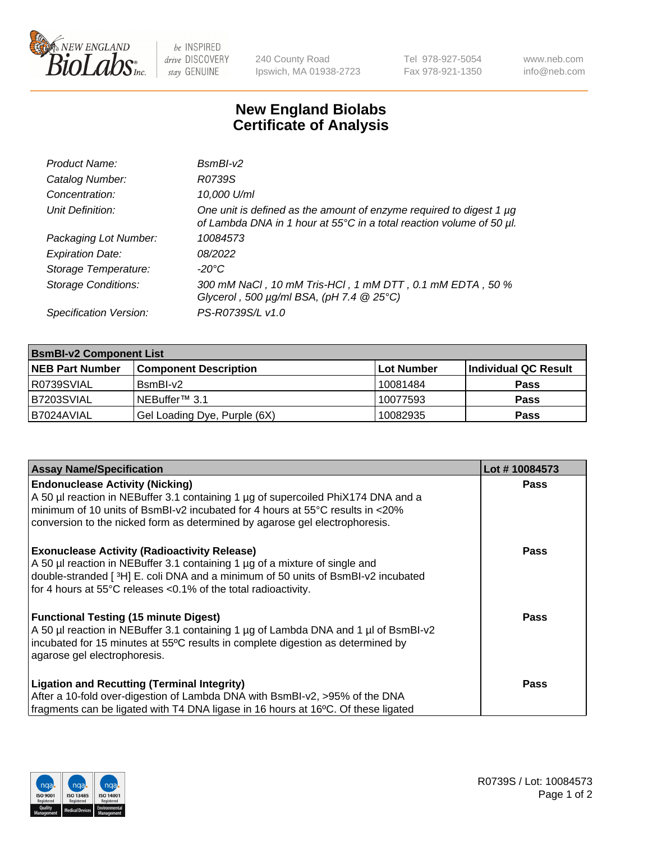

 $be$  INSPIRED drive DISCOVERY stay GENUINE

240 County Road Ipswich, MA 01938-2723 Tel 978-927-5054 Fax 978-921-1350 www.neb.com info@neb.com

## **New England Biolabs Certificate of Analysis**

| Product Name:              | $BsmBI-v2$                                                                                                                                  |
|----------------------------|---------------------------------------------------------------------------------------------------------------------------------------------|
| Catalog Number:            | R0739S                                                                                                                                      |
| Concentration:             | 10,000 U/ml                                                                                                                                 |
| Unit Definition:           | One unit is defined as the amount of enzyme required to digest 1 µg<br>of Lambda DNA in 1 hour at 55°C in a total reaction volume of 50 µl. |
| Packaging Lot Number:      | 10084573                                                                                                                                    |
| <b>Expiration Date:</b>    | 08/2022                                                                                                                                     |
| Storage Temperature:       | $-20^{\circ}$ C                                                                                                                             |
| <b>Storage Conditions:</b> | 300 mM NaCl, 10 mM Tris-HCl, 1 mM DTT, 0.1 mM EDTA, 50 %<br>Glycerol, 500 $\mu$ g/ml BSA, (pH 7.4 $@25°C$ )                                 |
| Specification Version:     | PS-R0739S/L v1.0                                                                                                                            |

| <b>BsmBI-v2 Component List</b> |                              |            |                      |  |  |
|--------------------------------|------------------------------|------------|----------------------|--|--|
| <b>NEB Part Number</b>         | <b>Component Description</b> | Lot Number | Individual QC Result |  |  |
| R0739SVIAL                     | BsmBI-v2                     | 10081484   | <b>Pass</b>          |  |  |
| B7203SVIAL                     | INEBuffer™ 3.1               | 10077593   | <b>Pass</b>          |  |  |
| IB7024AVIAL                    | Gel Loading Dye, Purple (6X) | 10082935   | <b>Pass</b>          |  |  |

| <b>Assay Name/Specification</b>                                                                                                                                     | Lot #10084573 |
|---------------------------------------------------------------------------------------------------------------------------------------------------------------------|---------------|
| <b>Endonuclease Activity (Nicking)</b>                                                                                                                              | <b>Pass</b>   |
| A 50 µl reaction in NEBuffer 3.1 containing 1 µg of supercoiled PhiX174 DNA and a                                                                                   |               |
| $\mid$ minimum of 10 units of BsmBI-v2 incubated for 4 hours at 55°C results in <20%<br>conversion to the nicked form as determined by agarose gel electrophoresis. |               |
|                                                                                                                                                                     |               |
| <b>Exonuclease Activity (Radioactivity Release)</b>                                                                                                                 | <b>Pass</b>   |
| A 50 µl reaction in NEBuffer 3.1 containing 1 µg of a mixture of single and                                                                                         |               |
| double-stranded [3H] E. coli DNA and a minimum of 50 units of BsmBI-v2 incubated                                                                                    |               |
| for 4 hours at 55°C releases <0.1% of the total radioactivity.                                                                                                      |               |
| <b>Functional Testing (15 minute Digest)</b>                                                                                                                        | Pass          |
| A 50 µl reaction in NEBuffer 3.1 containing 1 µg of Lambda DNA and 1 µl of BsmBI-v2                                                                                 |               |
| incubated for 15 minutes at 55°C results in complete digestion as determined by                                                                                     |               |
| agarose gel electrophoresis.                                                                                                                                        |               |
| <b>Ligation and Recutting (Terminal Integrity)</b>                                                                                                                  | <b>Pass</b>   |
| After a 10-fold over-digestion of Lambda DNA with BsmBI-v2, >95% of the DNA                                                                                         |               |
| fragments can be ligated with T4 DNA ligase in 16 hours at 16°C. Of these ligated                                                                                   |               |